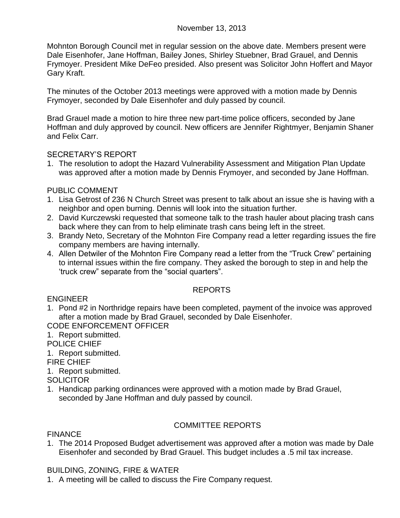Mohnton Borough Council met in regular session on the above date. Members present were Dale Eisenhofer, Jane Hoffman, Bailey Jones, Shirley Stuebner, Brad Grauel, and Dennis Frymoyer. President Mike DeFeo presided. Also present was Solicitor John Hoffert and Mayor Gary Kraft.

The minutes of the October 2013 meetings were approved with a motion made by Dennis Frymoyer, seconded by Dale Eisenhofer and duly passed by council.

Brad Grauel made a motion to hire three new part-time police officers, seconded by Jane Hoffman and duly approved by council. New officers are Jennifer Rightmyer, Benjamin Shaner and Felix Carr.

### SECRETARY"S REPORT

1. The resolution to adopt the Hazard Vulnerability Assessment and Mitigation Plan Update was approved after a motion made by Dennis Frymoyer, and seconded by Jane Hoffman.

# PUBLIC COMMENT

- 1. Lisa Getrost of 236 N Church Street was present to talk about an issue she is having with a neighbor and open burning. Dennis will look into the situation further.
- 2. David Kurczewski requested that someone talk to the trash hauler about placing trash cans back where they can from to help eliminate trash cans being left in the street.
- 3. Brandy Neto, Secretary of the Mohnton Fire Company read a letter regarding issues the fire company members are having internally.
- 4. Allen Detwiler of the Mohnton Fire Company read a letter from the "Truck Crew" pertaining to internal issues within the fire company. They asked the borough to step in and help the "truck crew" separate from the "social quarters".

# REPORTS

ENGINEER

1. Pond #2 in Northridge repairs have been completed, payment of the invoice was approved after a motion made by Brad Grauel, seconded by Dale Eisenhofer.

CODE ENFORCEMENT OFFICER

1. Report submitted.

POLICE CHIEF

1. Report submitted.

FIRE CHIEF

1. Report submitted.

**SOLICITOR** 

1. Handicap parking ordinances were approved with a motion made by Brad Grauel, seconded by Jane Hoffman and duly passed by council.

# COMMITTEE REPORTS

### **FINANCE**

1. The 2014 Proposed Budget advertisement was approved after a motion was made by Dale Eisenhofer and seconded by Brad Grauel. This budget includes a .5 mil tax increase.

# BUILDING, ZONING, FIRE & WATER

1. A meeting will be called to discuss the Fire Company request.